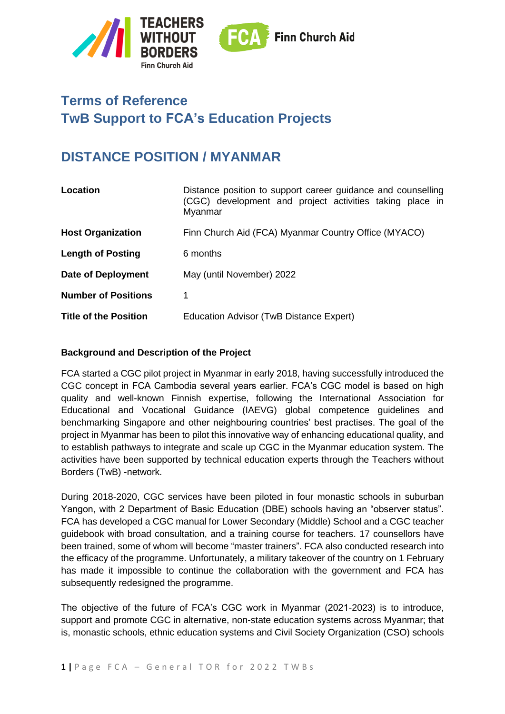

# **Terms of Reference TwB Support to FCA's Education Projects**

# **DISTANCE POSITION / MYANMAR**

| Location                     | Distance position to support career guidance and counselling<br>(CGC) development and project activities taking place in<br>Myanmar |
|------------------------------|-------------------------------------------------------------------------------------------------------------------------------------|
| <b>Host Organization</b>     | Finn Church Aid (FCA) Myanmar Country Office (MYACO)                                                                                |
| <b>Length of Posting</b>     | 6 months                                                                                                                            |
| Date of Deployment           | May (until November) 2022                                                                                                           |
| <b>Number of Positions</b>   | 1                                                                                                                                   |
| <b>Title of the Position</b> | Education Advisor (TwB Distance Expert)                                                                                             |

#### **Background and Description of the Project**

FCA started a CGC pilot project in Myanmar in early 2018, having successfully introduced the CGC concept in FCA Cambodia several years earlier. FCA's CGC model is based on high quality and well-known Finnish expertise, following the International Association for Educational and Vocational Guidance (IAEVG) global competence guidelines and benchmarking Singapore and other neighbouring countries' best practises. The goal of the project in Myanmar has been to pilot this innovative way of enhancing educational quality, and to establish pathways to integrate and scale up CGC in the Myanmar education system. The activities have been supported by technical education experts through the Teachers without Borders (TwB) -network.

During 2018-2020, CGC services have been piloted in four monastic schools in suburban Yangon, with 2 Department of Basic Education (DBE) schools having an "observer status". FCA has developed a CGC manual for Lower Secondary (Middle) School and a CGC teacher guidebook with broad consultation, and a training course for teachers. 17 counsellors have been trained, some of whom will become "master trainers". FCA also conducted research into the efficacy of the programme. Unfortunately, a military takeover of the country on 1 February has made it impossible to continue the collaboration with the government and FCA has subsequently redesigned the programme.

The objective of the future of FCA's CGC work in Myanmar (2021-2023) is to introduce, support and promote CGC in alternative, non-state education systems across Myanmar; that is, monastic schools, ethnic education systems and Civil Society Organization (CSO) schools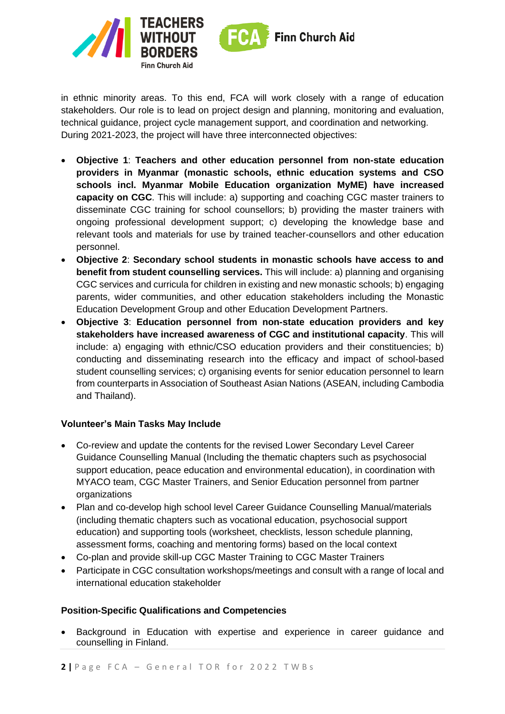

in ethnic minority areas. To this end, FCA will work closely with a range of education stakeholders. Our role is to lead on project design and planning, monitoring and evaluation, technical guidance, project cycle management support, and coordination and networking. During 2021-2023, the project will have three interconnected objectives:

- **Objective 1**: **Teachers and other education personnel from non-state education providers in Myanmar (monastic schools, ethnic education systems and CSO schools incl. Myanmar Mobile Education organization MyME) have increased capacity on CGC**. This will include: a) supporting and coaching CGC master trainers to disseminate CGC training for school counsellors; b) providing the master trainers with ongoing professional development support; c) developing the knowledge base and relevant tools and materials for use by trained teacher-counsellors and other education personnel.
- **Objective 2**: **Secondary school students in monastic schools have access to and benefit from student counselling services.** This will include: a) planning and organising CGC services and curricula for children in existing and new monastic schools; b) engaging parents, wider communities, and other education stakeholders including the Monastic Education Development Group and other Education Development Partners.
- **Objective 3**: **Education personnel from non-state education providers and key stakeholders have increased awareness of CGC and institutional capacity**. This will include: a) engaging with ethnic/CSO education providers and their constituencies; b) conducting and disseminating research into the efficacy and impact of school-based student counselling services; c) organising events for senior education personnel to learn from counterparts in Association of Southeast Asian Nations (ASEAN, including Cambodia and Thailand).

## **Volunteer's Main Tasks May Include**

- Co-review and update the contents for the revised Lower Secondary Level Career Guidance Counselling Manual (Including the thematic chapters such as psychosocial support education, peace education and environmental education), in coordination with MYACO team, CGC Master Trainers, and Senior Education personnel from partner organizations
- Plan and co-develop high school level Career Guidance Counselling Manual/materials (including thematic chapters such as vocational education, psychosocial support education) and supporting tools (worksheet, checklists, lesson schedule planning, assessment forms, coaching and mentoring forms) based on the local context
- Co-plan and provide skill-up CGC Master Training to CGC Master Trainers
- Participate in CGC consultation workshops/meetings and consult with a range of local and international education stakeholder

#### **Position-Specific Qualifications and Competencies**

• Background in Education with expertise and experience in career guidance and counselling in Finland.